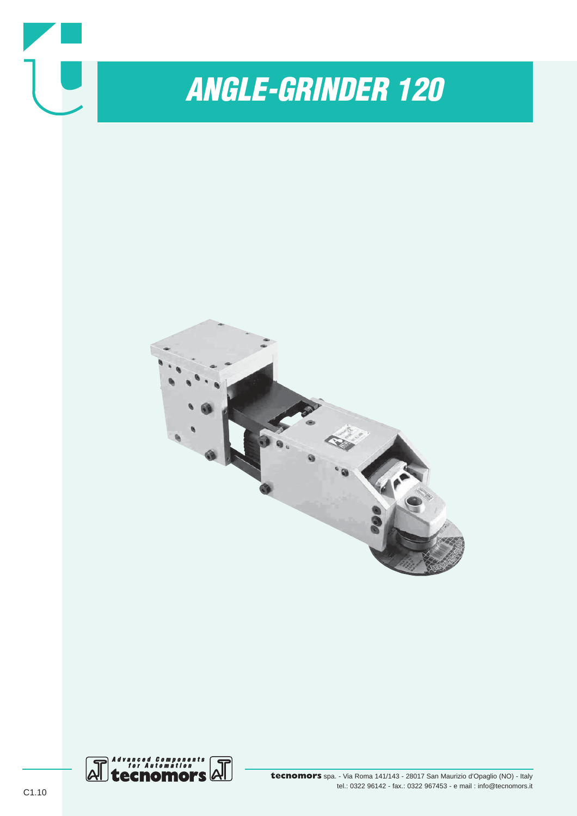

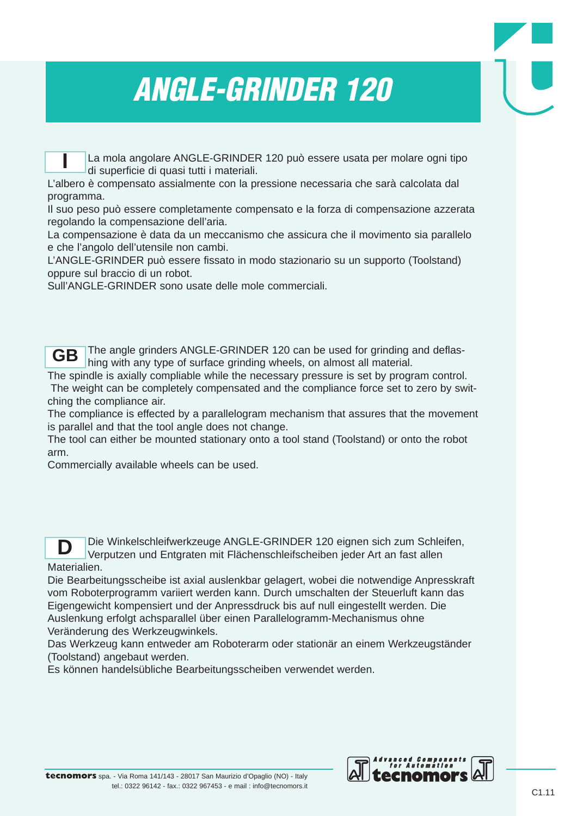# *ANGLE-GRINDER 120*

La mola angolare ANGLE-GRINDER 120 può essere usata per molare ogni tipo di superficie di quasi tutti i materiali.

L'albero è compensato assialmente con la pressione necessaria che sarà calcolata dal programma.

Il suo peso può essere completamente compensato e la forza di compensazione azzerata regolando la compensazione dell'aria.

La compensazione è data da un meccanismo che assicura che il movimento sia parallelo e che l'angolo dell'utensile non cambi.

L'ANGLE-GRINDER può essere fissato in modo stazionario su un supporto (Toolstand) oppure sul braccio di un robot.

Sull'ANGLE-GRINDER sono usate delle mole commerciali.

**I**

The angle grinders ANGLE-GRINDER 120 can be used for grinding and deflashing with any type of surface grinding wheels, on almost all material. **GB**

The spindle is axially compliable while the necessary pressure is set by program control. The weight can be completely compensated and the compliance force set to zero by switching the compliance air.

The compliance is effected by a parallelogram mechanism that assures that the movement is parallel and that the tool angle does not change.

The tool can either be mounted stationary onto a tool stand (Toolstand) or onto the robot arm.

Commercially available wheels can be used.

Die Winkelschleifwerkzeuge ANGLE-GRINDER 120 eignen sich zum Schleifen, Verputzen und Entgraten mit Flächenschleifscheiben jeder Art an fast allen Materialien. **D**

Die Bearbeitungsscheibe ist axial auslenkbar gelagert, wobei die notwendige Anpresskraft vom Roboterprogramm variiert werden kann. Durch umschalten der Steuerluft kann das Eigengewicht kompensiert und der Anpressdruck bis auf null eingestellt werden. Die Auslenkung erfolgt achsparallel über einen Parallelogramm-Mechanismus ohne Veränderung des Werkzeugwinkels.

Das Werkzeug kann entweder am Roboterarm oder stationär an einem Werkzeugständer (Toolstand) angebaut werden.

Es können handelsübliche Bearbeitungsscheiben verwendet werden.

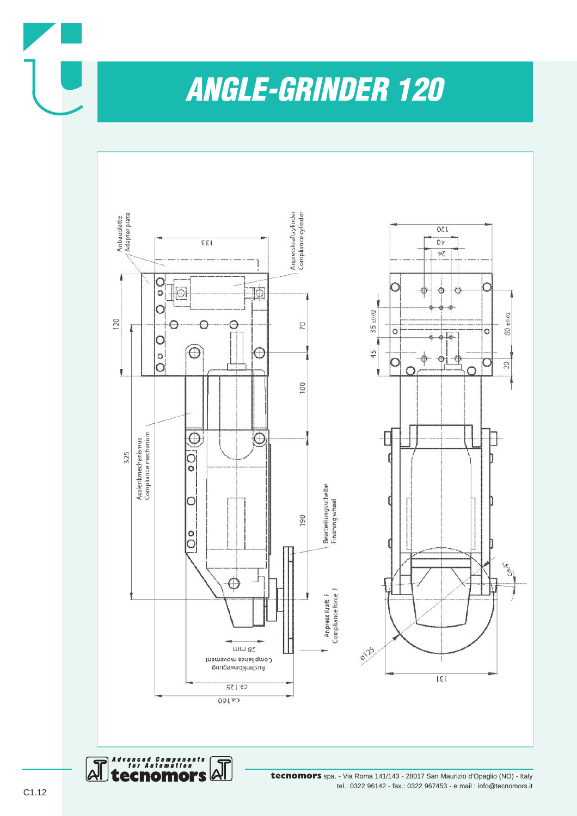*ANGLE-GRINDER 120*



**tecnomors** spa. - Via Roma 141/143 - 28017 San Maurizio d'Opaglio (NO) - Italy tel.: 0322 96142 - fax.: 0322 967453 - e mail : info@tecnomors.it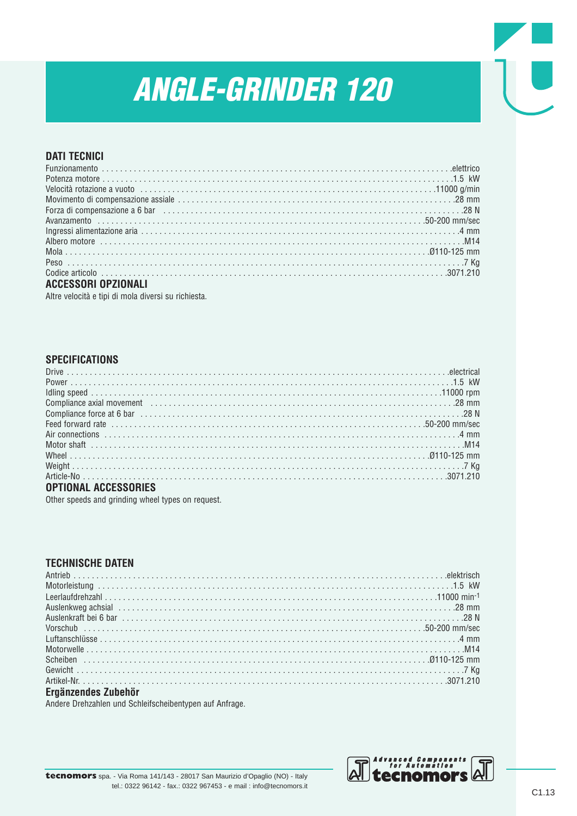## **ANGLE-GRINDER 120**

### **DATI TECNICI**

| Derza di compensazione a 6 bar (1990) and the competition of the state of the state of the state of the state of the state of the state of the state of the state of the state of the state of the state of the state of the s |  |
|--------------------------------------------------------------------------------------------------------------------------------------------------------------------------------------------------------------------------------|--|
|                                                                                                                                                                                                                                |  |
|                                                                                                                                                                                                                                |  |
|                                                                                                                                                                                                                                |  |
|                                                                                                                                                                                                                                |  |
|                                                                                                                                                                                                                                |  |
|                                                                                                                                                                                                                                |  |
| <b>ACCESSORI OPZIONALI</b>                                                                                                                                                                                                     |  |

Altre velocità e tipi di mola diversi su richiesta.

#### **SPECIFICATIONS**

| <b>OPTIONAL ACCESSORIES</b> |  |
|-----------------------------|--|

Other speeds and grinding wheel types on request.

#### **TECHNISCHE DATEN**

| Ergänzendes Zubehör |  |
|---------------------|--|

Andere Drehzahlen und Schleifscheibentypen auf Anfrage.

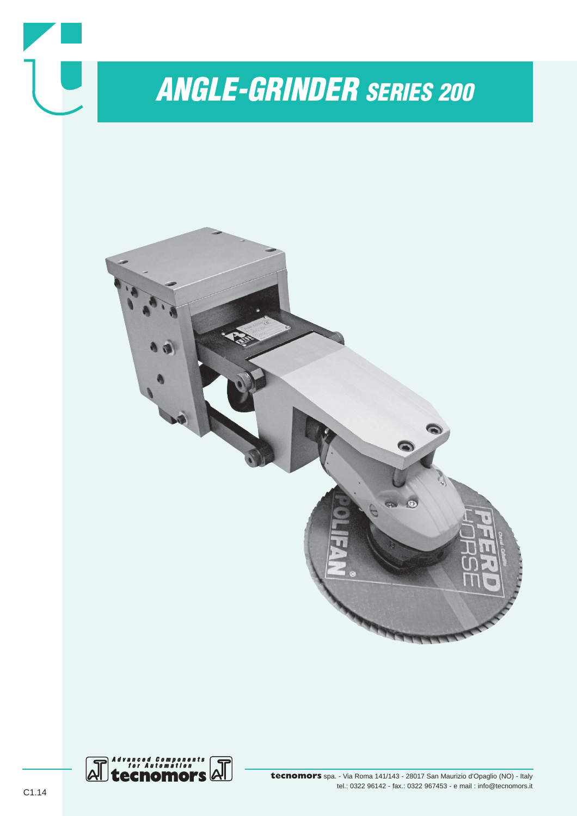

tel.: 0322 96142 - fax.: 0322 967453 - e mail : info@tecnomors.it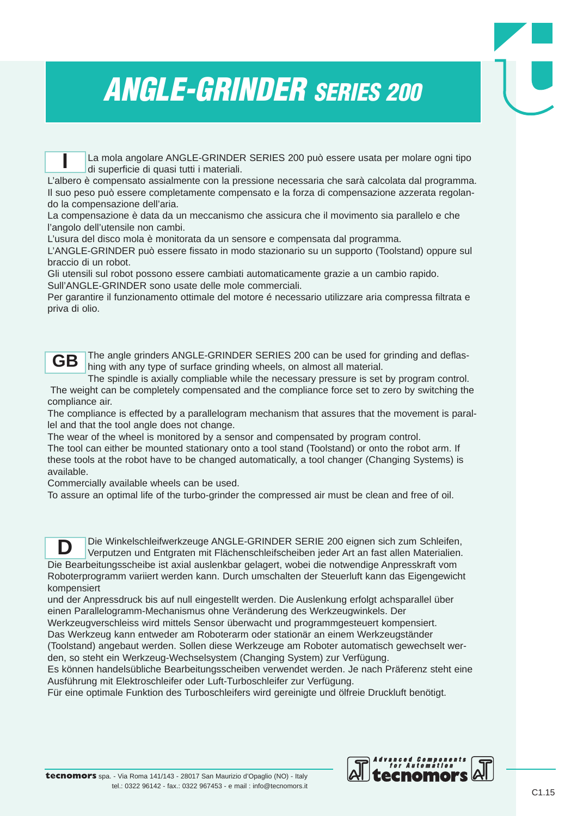La mola angolare ANGLE-GRINDER SERIES 200 può essere usata per molare ogni tipo di superficie di quasi tutti i materiali.

L'albero è compensato assialmente con la pressione necessaria che sarà calcolata dal programma. Il suo peso può essere completamente compensato e la forza di compensazione azzerata regolando la compensazione dell'aria.

La compensazione è data da un meccanismo che assicura che il movimento sia parallelo e che l'angolo dell'utensile non cambi.

L'usura del disco mola è monitorata da un sensore e compensata dal programma.

L'ANGLE-GRINDER può essere fissato in modo stazionario su un supporto (Toolstand) oppure sul braccio di un robot.

Gli utensili sul robot possono essere cambiati automaticamente grazie a un cambio rapido. Sull'ANGLE-GRINDER sono usate delle mole commerciali.

Per garantire il funzionamento ottimale del motore é necessario utilizzare aria compressa filtrata e priva di olio.

**GB**

**I**

The angle grinders ANGLE-GRINDER SERIES 200 can be used for grinding and deflashing with any type of surface grinding wheels, on almost all material.

The spindle is axially compliable while the necessary pressure is set by program control. The weight can be completely compensated and the compliance force set to zero by switching the compliance air.

The compliance is effected by a parallelogram mechanism that assures that the movement is parallel and that the tool angle does not change.

The wear of the wheel is monitored by a sensor and compensated by program control.

The tool can either be mounted stationary onto a tool stand (Toolstand) or onto the robot arm. If these tools at the robot have to be changed automatically, a tool changer (Changing Systems) is available.

Commercially available wheels can be used.

To assure an optimal life of the turbo-grinder the compressed air must be clean and free of oil.

Die Winkelschleifwerkzeuge ANGLE-GRINDER SERIE 200 eignen sich zum Schleifen, Verputzen und Entgraten mit Flächenschleifscheiben jeder Art an fast allen Materialien. Die Bearbeitungsscheibe ist axial auslenkbar gelagert, wobei die notwendige Anpresskraft vom Roboterprogramm variiert werden kann. Durch umschalten der Steuerluft kann das Eigengewicht kompensiert **D**

und der Anpressdruck bis auf null eingestellt werden. Die Auslenkung erfolgt achsparallel über einen Parallelogramm-Mechanismus ohne Veränderung des Werkzeugwinkels. Der

Werkzeugverschleiss wird mittels Sensor überwacht und programmgesteuert kompensiert.

Das Werkzeug kann entweder am Roboterarm oder stationär an einem Werkzeugständer

(Toolstand) angebaut werden. Sollen diese Werkzeuge am Roboter automatisch gewechselt werden, so steht ein Werkzeug-Wechselsystem (Changing System) zur Verfügung.

Es können handelsübliche Bearbeitungsscheiben verwendet werden. Je nach Präferenz steht eine Ausführung mit Elektroschleifer oder Luft-Turboschleifer zur Verfügung.

Für eine optimale Funktion des Turboschleifers wird gereinigte und ölfreie Druckluft benötigt.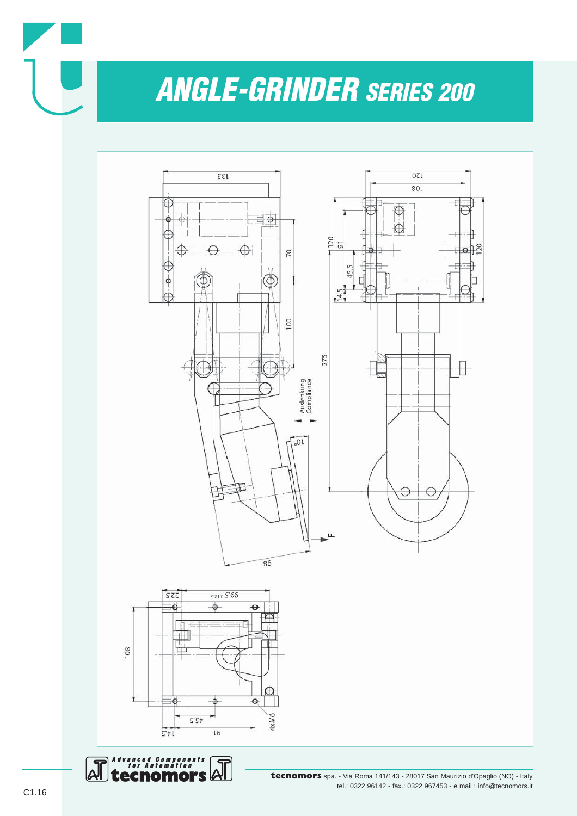



**tecnomors** spa. - Via Roma 141/143 - 28017 San Maurizio d'Opaglio (NO) - Italy tel.: 0322 96142 - fax.: 0322 967453 - e mail : info@tecnomors.it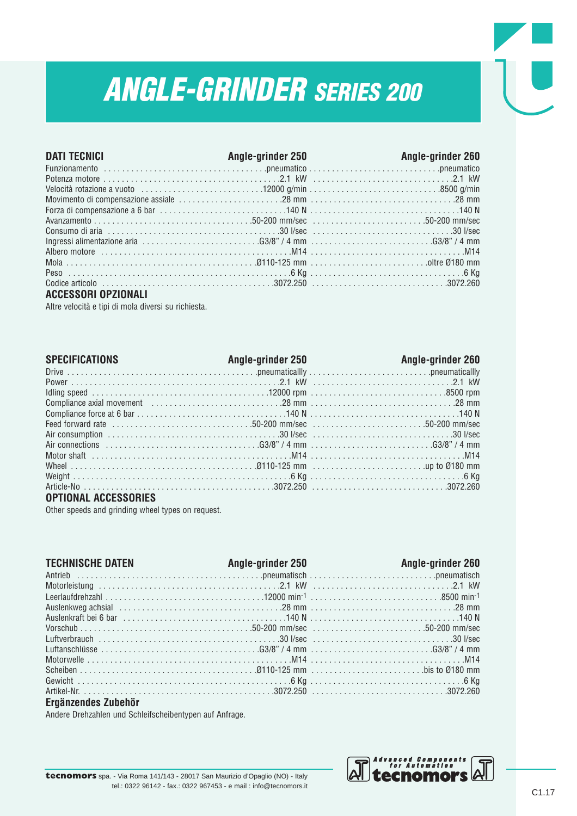| <b>DATI TECNICI</b> | <b>Angle-grinder 250</b> | Angle-grinder 260                                                                                                                                                                  |
|---------------------|--------------------------|------------------------------------------------------------------------------------------------------------------------------------------------------------------------------------|
|                     |                          |                                                                                                                                                                                    |
|                     |                          |                                                                                                                                                                                    |
|                     |                          |                                                                                                                                                                                    |
|                     |                          |                                                                                                                                                                                    |
|                     |                          |                                                                                                                                                                                    |
|                     |                          |                                                                                                                                                                                    |
|                     |                          |                                                                                                                                                                                    |
|                     |                          | Ingressi alimentazione aria $\ldots \ldots \ldots \ldots \ldots \ldots \ldots \ldots G3/8$ " / 4 mm $\ldots \ldots \ldots \ldots \ldots \ldots \ldots \ldots \ldots G3/8$ " / 4 mm |
|                     |                          |                                                                                                                                                                                    |
|                     |                          |                                                                                                                                                                                    |
|                     |                          |                                                                                                                                                                                    |
|                     |                          |                                                                                                                                                                                    |

#### **ACCESSORI OPZIONALI**

Altre velocità e tipi di mola diversi su richiesta.

| <b>SPECIFICATIONS</b> | Angle-grinder 250 | Angle-grinder 260 |
|-----------------------|-------------------|-------------------|
|                       |                   |                   |
|                       |                   |                   |
|                       |                   |                   |
|                       |                   |                   |
|                       |                   |                   |
|                       |                   |                   |
|                       |                   |                   |
|                       |                   |                   |
|                       |                   |                   |
|                       |                   |                   |
|                       |                   |                   |
|                       |                   |                   |

#### **OPTIONAL ACCESSORIES**

Other speeds and grinding wheel types on request.

| <b>TECHNISCHE DATEN</b> | Angle-grinder 250 | <b>Example 260</b> Angle-grinder 260 |
|-------------------------|-------------------|--------------------------------------|
|                         |                   |                                      |
|                         |                   |                                      |
|                         |                   |                                      |
|                         |                   |                                      |
|                         |                   |                                      |
|                         |                   |                                      |
|                         |                   |                                      |
|                         |                   |                                      |
|                         |                   |                                      |
|                         |                   |                                      |
|                         |                   |                                      |
|                         |                   |                                      |

#### **Ergänzendes Zubehör**

Andere Drehzahlen und Schleifscheibentypen auf Anfrage.

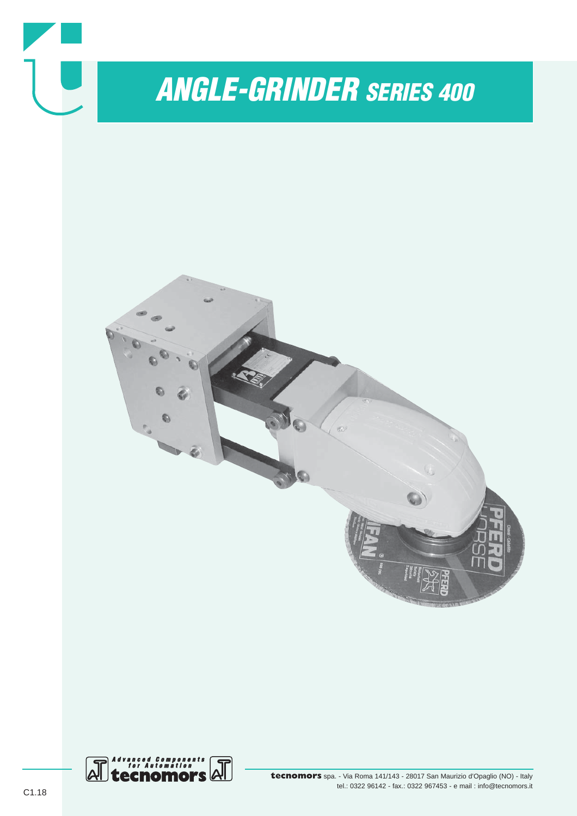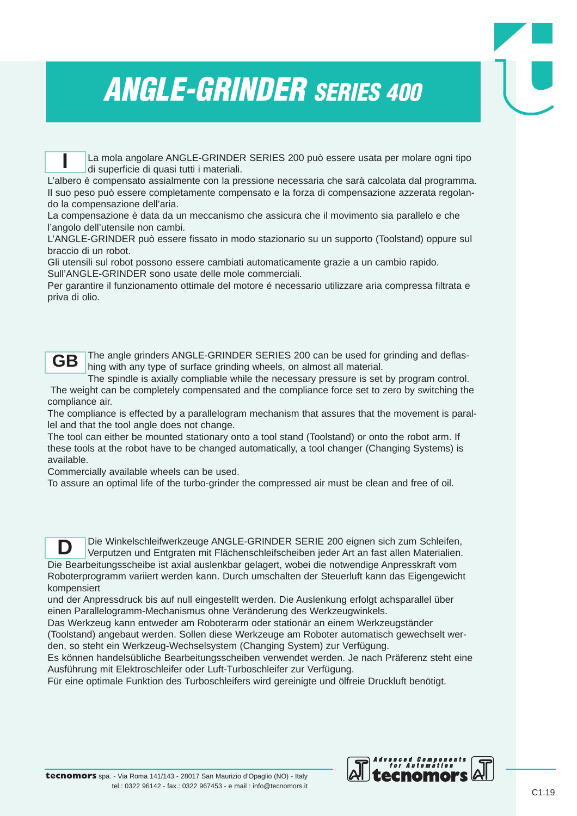La mola angolare ANGLE-GRINDER SERIES 200 può essere usata per molare ogni tipo di superficie di quasi tutti i materiali. **I**

L'albero è compensato assialmente con la pressione necessaria che sarà calcolata dal programma. Il suo peso può essere completamente compensato e la forza di compensazione azzerata regolando la compensazione dell'aria.

La compensazione è data da un meccanismo che assicura che il movimento sia parallelo e che l'angolo dell'utensile non cambi.

L'ANGLE-GRINDER può essere fissato in modo stazionario su un supporto (Toolstand) oppure sul braccio di un robot.

Gli utensili sul robot possono essere cambiati automaticamente grazie a un cambio rapido. Sull'ANGLE-GRINDER sono usate delle mole commerciali.

Per garantire il funzionamento ottimale del motore é necessario utilizzare aria compressa filtrata e priva di olio.



The angle grinders ANGLE-GRINDER SERIES 200 can be used for grinding and deflashing with any type of surface grinding wheels, on almost all material.

The spindle is axially compliable while the necessary pressure is set by program control. The weight can be completely compensated and the compliance force set to zero by switching the compliance air.

The compliance is effected by a parallelogram mechanism that assures that the movement is parallel and that the tool angle does not change.

The tool can either be mounted stationary onto a tool stand (Toolstand) or onto the robot arm. If these tools at the robot have to be changed automatically, a tool changer (Changing Systems) is available.

Commercially available wheels can be used.

To assure an optimal life of the turbo-grinder the compressed air must be clean and free of oil.

Die Winkelschleifwerkzeuge ANGLE-GRINDER SERIE 200 eignen sich zum Schleifen, Verputzen und Entgraten mit Flächenschleifscheiben jeder Art an fast allen Materialien. Die Bearbeitungsscheibe ist axial auslenkbar gelagert, wobei die notwendige Anpresskraft vom Roboterprogramm variiert werden kann. Durch umschalten der Steuerluft kann das Eigengewicht kompensiert **D**

und der Anpressdruck bis auf null eingestellt werden. Die Auslenkung erfolgt achsparallel über einen Parallelogramm-Mechanismus ohne Veränderung des Werkzeugwinkels.

Das Werkzeug kann entweder am Roboterarm oder stationär an einem Werkzeugständer (Toolstand) angebaut werden. Sollen diese Werkzeuge am Roboter automatisch gewechselt werden, so steht ein Werkzeug-Wechselsystem (Changing System) zur Verfügung.

Es können handelsübliche Bearbeitungsscheiben verwendet werden. Je nach Präferenz steht eine Ausführung mit Elektroschleifer oder Luft-Turboschleifer zur Verfügung.

Für eine optimale Funktion des Turboschleifers wird gereinigte und ölfreie Druckluft benötigt.

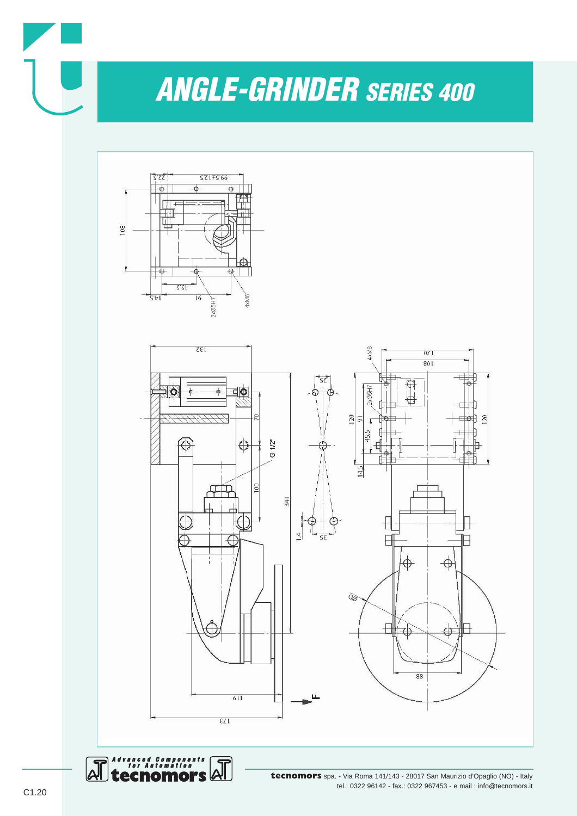



Advanced Components<br>for Automation  $\Delta \Gamma$ 

 $\Delta$